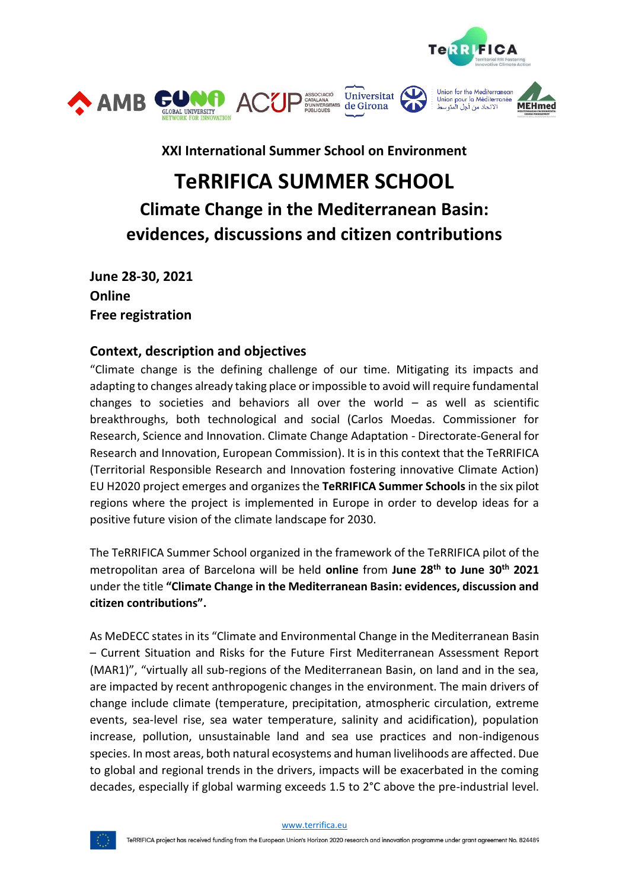

**XXI International Summer School on Environment**

# **TeRRIFICA SUMMER SCHOOL Climate Change in the Mediterranean Basin: evidences, discussions and citizen contributions**

**June 28-30, 2021 Online Free registration**

# **Context, description and objectives**

"Climate change is the defining challenge of our time. Mitigating its impacts and adapting to changes already taking place or impossible to avoid will require fundamental changes to societies and behaviors all over the world  $-$  as well as scientific breakthroughs, both technological and social (Carlos Moedas. Commissioner for Research, Science and Innovation. Climate Change Adaptation - Directorate-General for Research and Innovation, European Commission). It is in this context that the TeRRIFICA (Territorial Responsible Research and Innovation fostering innovative Climate Action) EU H2020 project emerges and organizes the **TeRRIFICA Summer Schools** in the six pilot regions where the project is implemented in Europe in order to develop ideas for a positive future vision of the climate landscape for 2030.

The TeRRIFICA Summer School organized in the framework of the TeRRIFICA pilot of the metropolitan area of Barcelona will be held **online** from **June 28th to June 30th 2021** under the title **"Climate Change in the Mediterranean Basin: evidences, discussion and citizen contributions".**

As MeDECC statesin its "Climate and Environmental Change in the Mediterranean Basin – Current Situation and Risks for the Future First Mediterranean Assessment Report (MAR1)", "virtually all sub-regions of the Mediterranean Basin, on land and in the sea, are impacted by recent anthropogenic changes in the environment. The main drivers of change include climate (temperature, precipitation, atmospheric circulation, extreme events, sea-level rise, sea water temperature, salinity and acidification), population increase, pollution, unsustainable land and sea use practices and non-indigenous species. In most areas, both natural ecosystems and human livelihoods are affected. Due to global and regional trends in the drivers, impacts will be exacerbated in the coming decades, especially if global warming exceeds 1.5 to 2°C above the pre-industrial level.

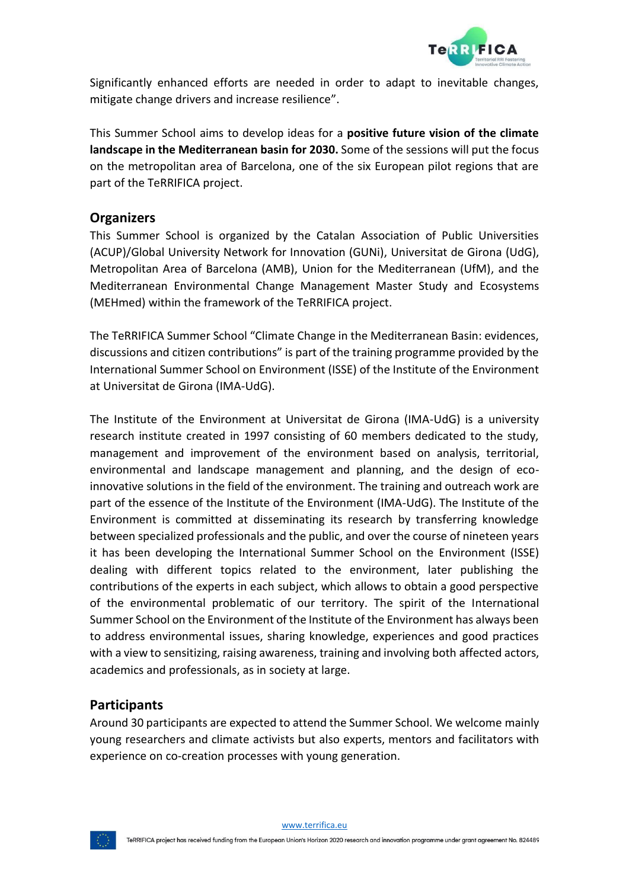

Significantly enhanced efforts are needed in order to adapt to inevitable changes, mitigate change drivers and increase resilience".

This Summer School aims to develop ideas for a **positive future vision of the climate landscape in the Mediterranean basin for 2030.** Some of the sessions will put the focus on the metropolitan area of Barcelona, one of the six European pilot regions that are part of the TeRRIFICA project.

# **Organizers**

This Summer School is organized by the Catalan Association of Public Universities (ACUP)/Global University Network for Innovation (GUNi), Universitat de Girona (UdG), Metropolitan Area of Barcelona (AMB), Union for the Mediterranean (UfM), and the Mediterranean Environmental Change Management Master Study and Ecosystems (MEHmed) within the framework of the TeRRIFICA project.

The TeRRIFICA Summer School "Climate Change in the Mediterranean Basin: evidences, discussions and citizen contributions" is part of the training programme provided by the International Summer School on Environment (ISSE) of the Institute of the Environment at Universitat de Girona (IMA-UdG).

The Institute of the Environment at Universitat de Girona (IMA-UdG) is a university research institute created in 1997 consisting of 60 members dedicated to the study, management and improvement of the environment based on analysis, territorial, environmental and landscape management and planning, and the design of ecoinnovative solutions in the field of the environment. The training and outreach work are part of the essence of the Institute of the Environment (IMA-UdG). The Institute of the Environment is committed at disseminating its research by transferring knowledge between specialized professionals and the public, and over the course of nineteen years it has been developing the International Summer School on the Environment (ISSE) dealing with different topics related to the environment, later publishing the contributions of the experts in each subject, which allows to obtain a good perspective of the environmental problematic of our territory. The spirit of the International Summer School on the Environment of the Institute of the Environment has always been to address environmental issues, sharing knowledge, experiences and good practices with a view to sensitizing, raising awareness, training and involving both affected actors, academics and professionals, as in society at large.

# **Participants**

Around 30 participants are expected to attend the Summer School. We welcome mainly young researchers and climate activists but also experts, mentors and facilitators with experience on co-creation processes with young generation.

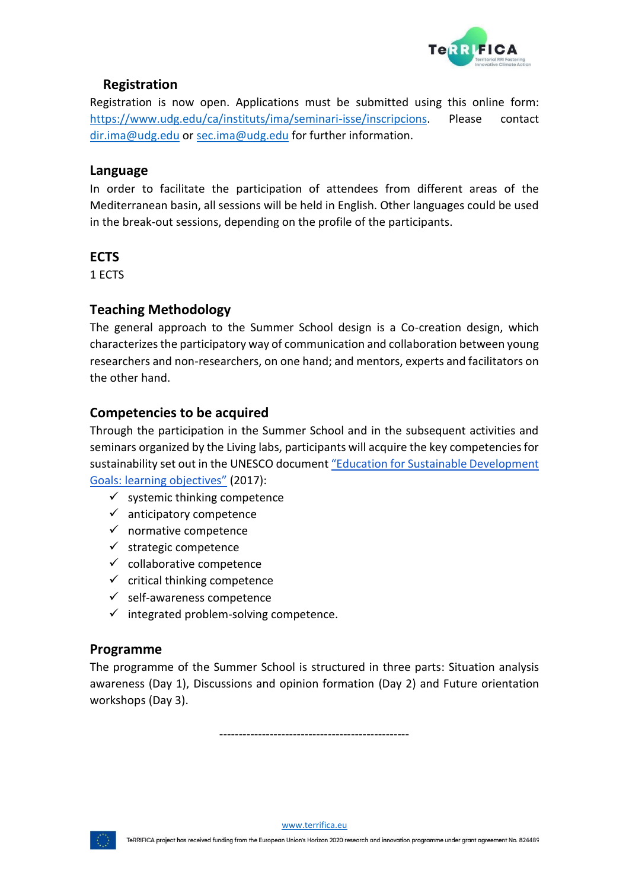

# **Registration**

Registration is now open. Applications must be submitted using this online form: https://www.udg.edu/ca/instituts/ima/seminari-isse/inscripcions. Please contact dir.ima@udg.edu or sec.ima@udg.edu for further information.

#### **Language**

In order to facilitate the participation of attendees from different areas of the Mediterranean basin, all sessions will be held in English. Other languages could be used in the break-out sessions, depending on the profile of the participants.

# **ECTS**

1 ECTS

# **Teaching Methodology**

The general approach to the Summer School design is a Co-creation design, which characterizes the participatory way of communication and collaboration between young researchers and non-researchers, on one hand; and mentors, experts and facilitators on the other hand.

# **Competencies to be acquired**

Through the participation in the Summer School and in the subsequent activities and seminars organized by the Living labs, participants will acquire the key competencies for sustainability set out in the UNESCO document "Education for Sustainable Development Goals: learning objectives" (2017):

- $\checkmark$  systemic thinking competence
- $\checkmark$  anticipatory competence
- $\checkmark$  normative competence
- $\checkmark$  strategic competence
- $\checkmark$  collaborative competence
- $\checkmark$  critical thinking competence
- $\checkmark$  self-awareness competence
- $\checkmark$  integrated problem-solving competence.

#### **Programme**

The programme of the Summer School is structured in three parts: Situation analysis awareness (Day 1), Discussions and opinion formation (Day 2) and Future orientation workshops (Day 3).

-------------------------------------------------

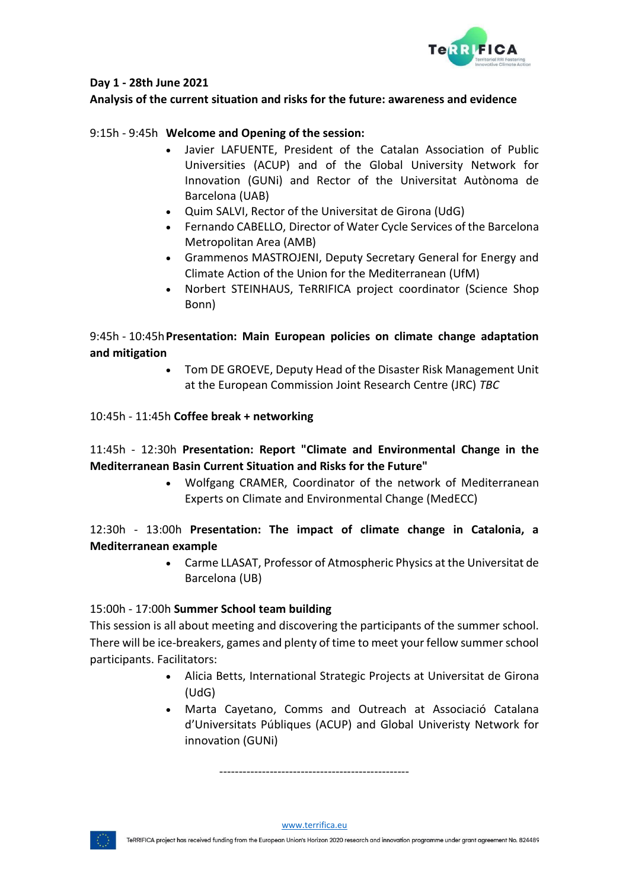

#### **Day 1 - 28th June 2021**

#### **Analysis of the current situation and risks for the future: awareness and evidence**

#### 9:15h - 9:45h **Welcome and Opening of the session:**

- Javier LAFUENTE, President of the Catalan Association of Public Universities (ACUP) and of the Global University Network for Innovation (GUNi) and Rector of the Universitat Autònoma de Barcelona (UAB)
- Quim SALVI, Rector of the Universitat de Girona (UdG)
- Fernando CABELLO, Director of Water Cycle Services of the Barcelona Metropolitan Area (AMB)
- Grammenos MASTROJENI, Deputy Secretary General for Energy and Climate Action of the Union for the Mediterranean (UfM)
- Norbert STEINHAUS, TeRRIFICA project coordinator (Science Shop Bonn)

### 9:45h - 10:45h**Presentation: Main European policies on climate change adaptation and mitigation**

• Tom DE GROEVE, Deputy Head of the Disaster Risk Management Unit at the European Commission Joint Research Centre (JRC) *TBC*

#### 10:45h - 11:45h **Coffee break + networking**

# 11:45h - 12:30h **Presentation: Report "Climate and Environmental Change in the Mediterranean Basin Current Situation and Risks for the Future"**

• Wolfgang CRAMER, Coordinator of the network of Mediterranean Experts on Climate and Environmental Change (MedECC)

# 12:30h - 13:00h **Presentation: The impact of climate change in Catalonia, a Mediterranean example**

• Carme LLASAT, Professor of Atmospheric Physics at the Universitat de Barcelona (UB)

#### 15:00h - 17:00h **Summer School team building**

This session is all about meeting and discovering the participants of the summer school. There will be ice-breakers, games and plenty of time to meet your fellow summer school participants. Facilitators:

- Alicia Betts, International Strategic Projects at Universitat de Girona (UdG)
- Marta Cayetano, Comms and Outreach at Associació Catalana d'Universitats Públiques (ACUP) and Global Univeristy Network for innovation (GUNi)

-------------------------------------------------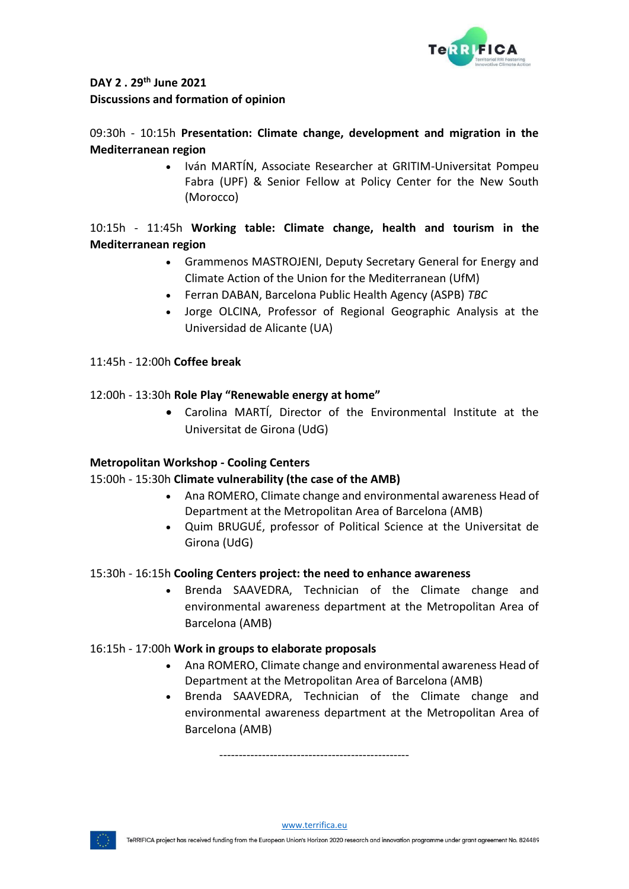

# **DAY 2 . 29th June 2021 Discussions and formation of opinion**

# 09:30h - 10:15h **Presentation: Climate change, development and migration in the Mediterranean region**

• Iván MARTÍN, Associate Researcher at GRITIM-Universitat Pompeu Fabra (UPF) & Senior Fellow at Policy Center for the New South (Morocco)

# 10:15h - 11:45h **Working table: Climate change, health and tourism in the Mediterranean region**

- Grammenos MASTROJENI, Deputy Secretary General for Energy and Climate Action of the Union for the Mediterranean (UfM)
- Ferran DABAN, Barcelona Public Health Agency (ASPB) *TBC*
- Jorge OLCINA, Professor of Regional Geographic Analysis at the Universidad de Alicante (UA)

# 11:45h - 12:00h **Coffee break**

# 12:00h - 13:30h **Role Play "Renewable energy at home"**

• Carolina MARTÍ, Director of the Environmental Institute at the Universitat de Girona (UdG)

#### **Metropolitan Workshop - Cooling Centers**

#### 15:00h - 15:30h **Climate vulnerability (the case of the AMB)**

- Ana ROMERO, Climate change and environmental awareness Head of Department at the Metropolitan Area of Barcelona (AMB)
- Quim BRUGUÉ, professor of Political Science at the Universitat de Girona (UdG)

#### 15:30h - 16:15h **Cooling Centers project: the need to enhance awareness**

• Brenda SAAVEDRA, Technician of the Climate change and environmental awareness department at the Metropolitan Area of Barcelona (AMB)

#### 16:15h - 17:00h **Work in groups to elaborate proposals**

- Ana ROMERO, Climate change and environmental awareness Head of Department at the Metropolitan Area of Barcelona (AMB)
- Brenda SAAVEDRA, Technician of the Climate change and environmental awareness department at the Metropolitan Area of Barcelona (AMB)

-------------------------------------------------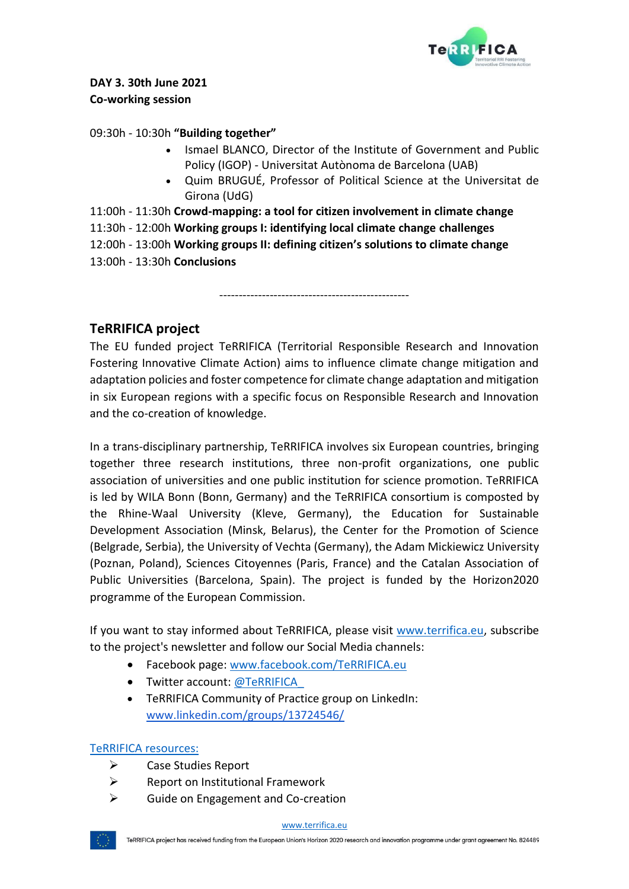

# **DAY 3. 30th June 2021 Co-working session**

#### 09:30h - 10:30h **"Building together"**

- Ismael BLANCO, Director of the Institute of Government and Public Policy (IGOP) - Universitat Autònoma de Barcelona (UAB)
- Quim BRUGUÉ, Professor of Political Science at the Universitat de Girona (UdG)

11:00h - 11:30h **Crowd-mapping: a tool for citizen involvement in climate change** 11:30h - 12:00h **Working groups I: identifying local climate change challenges** 12:00h - 13:00h **Working groups II: defining citizen's solutions to climate change** 13:00h - 13:30h **Conclusions**

-------------------------------------------------

# **TeRRIFICA project**

The EU funded project TeRRIFICA (Territorial Responsible Research and Innovation Fostering Innovative Climate Action) aims to influence climate change mitigation and adaptation policies and foster competence for climate change adaptation and mitigation in six European regions with a specific focus on Responsible Research and Innovation and the co-creation of knowledge.

In a trans-disciplinary partnership, TeRRIFICA involves six European countries, bringing together three research institutions, three non-profit organizations, one public association of universities and one public institution for science promotion. TeRRIFICA is led by WILA Bonn (Bonn, Germany) and the TeRRIFICA consortium is composted by the Rhine-Waal University (Kleve, Germany), the Education for Sustainable Development Association (Minsk, Belarus), the Center for the Promotion of Science (Belgrade, Serbia), the University of Vechta (Germany), the Adam Mickiewicz University (Poznan, Poland), Sciences Citoyennes (Paris, France) and the Catalan Association of Public Universities (Barcelona, Spain). The project is funded by the Horizon2020 programme of the European Commission.

If you want to stay informed about TeRRIFICA, please visit www.terrifica.eu, subscribe to the project's newsletter and follow our Social Media channels:

- Facebook page: www.facebook.com/TeRRIFICA.eu
- Twitter account: @TeRRIFICA
- TeRRIFICA Community of Practice group on LinkedIn: www.linkedin.com/groups/13724546/

#### TeRRIFICA resources:

- ➢ Case Studies Report
- ➢ Report on Institutional Framework
- ➢ Guide on Engagement and Co-creation